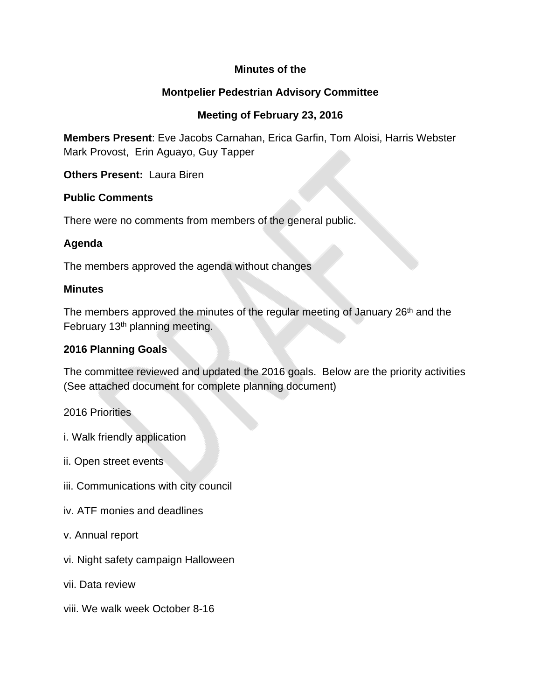## **Minutes of the**

## **Montpelier Pedestrian Advisory Committee**

# **Meeting of February 23, 2016**

**Members Present**: Eve Jacobs Carnahan, Erica Garfin, Tom Aloisi, Harris Webster Mark Provost, Erin Aguayo, Guy Tapper

**Others Present:** Laura Biren

#### **Public Comments**

There were no comments from members of the general public.

## **Agenda**

The members approved the agenda without changes

#### **Minutes**

The members approved the minutes of the regular meeting of January 26<sup>th</sup> and the February 13<sup>th</sup> planning meeting.

## **2016 Planning Goals**

The committee reviewed and updated the 2016 goals. Below are the priority activities (See attached document for complete planning document)

2016 Priorities

- i. Walk friendly application
- ii. Open street events
- iii. Communications with city council
- iv. ATF monies and deadlines
- v. Annual report
- vi. Night safety campaign Halloween
- vii. Data review
- viii. We walk week October 8-16